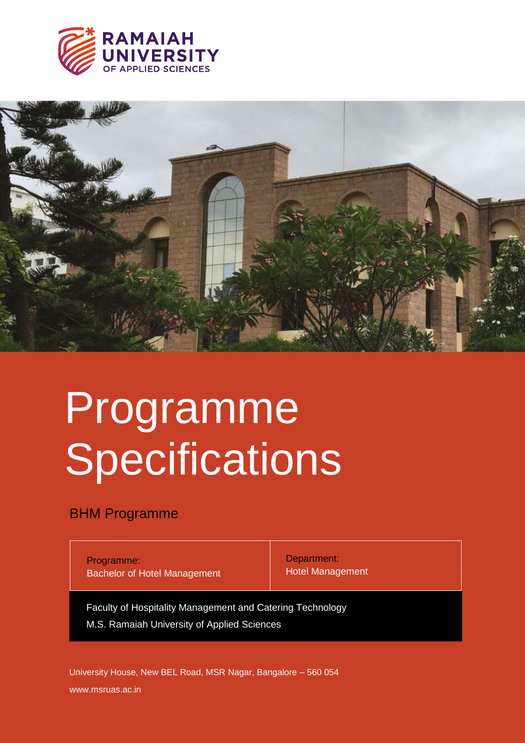



# Programme Specifications

# BHM Programme

Programme: Bachelor of Hotel Management Department: Hotel Management

Faculty of Hospitality Management and Catering Technology M.S. Ramaiah University of Applied Sciences

www.msruas.ac.in University House, New BEL Road, MSR Nagar, Bangalore – 560 054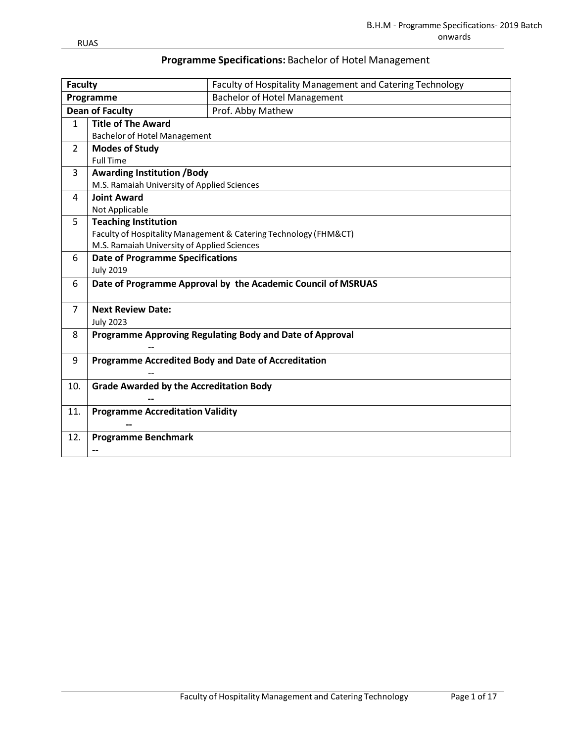|  |  | Programme Specifications: Bachelor of Hotel Management |  |
|--|--|--------------------------------------------------------|--|
|--|--|--------------------------------------------------------|--|

| <b>Faculty</b>         |                                                | Faculty of Hospitality Management and Catering Technology        |  |  |  |  |  |
|------------------------|------------------------------------------------|------------------------------------------------------------------|--|--|--|--|--|
|                        | Programme                                      | <b>Bachelor of Hotel Management</b>                              |  |  |  |  |  |
| <b>Dean of Faculty</b> |                                                | Prof. Abby Mathew                                                |  |  |  |  |  |
| $\mathbf{1}$           | <b>Title of The Award</b>                      |                                                                  |  |  |  |  |  |
|                        | <b>Bachelor of Hotel Management</b>            |                                                                  |  |  |  |  |  |
| $\overline{2}$         | <b>Modes of Study</b>                          |                                                                  |  |  |  |  |  |
|                        | <b>Full Time</b>                               |                                                                  |  |  |  |  |  |
| 3                      | <b>Awarding Institution /Body</b>              |                                                                  |  |  |  |  |  |
|                        | M.S. Ramaiah University of Applied Sciences    |                                                                  |  |  |  |  |  |
| 4                      | <b>Joint Award</b>                             |                                                                  |  |  |  |  |  |
|                        | Not Applicable                                 |                                                                  |  |  |  |  |  |
| 5                      | <b>Teaching Institution</b>                    |                                                                  |  |  |  |  |  |
|                        |                                                | Faculty of Hospitality Management & Catering Technology (FHM&CT) |  |  |  |  |  |
|                        | M.S. Ramaiah University of Applied Sciences    |                                                                  |  |  |  |  |  |
| 6                      | <b>Date of Programme Specifications</b>        |                                                                  |  |  |  |  |  |
|                        | <b>July 2019</b>                               |                                                                  |  |  |  |  |  |
| 6                      |                                                | Date of Programme Approval by the Academic Council of MSRUAS     |  |  |  |  |  |
| $\overline{7}$         | <b>Next Review Date:</b>                       |                                                                  |  |  |  |  |  |
|                        | <b>July 2023</b>                               |                                                                  |  |  |  |  |  |
| 8                      |                                                | Programme Approving Regulating Body and Date of Approval         |  |  |  |  |  |
|                        |                                                |                                                                  |  |  |  |  |  |
| 9                      |                                                | Programme Accredited Body and Date of Accreditation              |  |  |  |  |  |
|                        |                                                |                                                                  |  |  |  |  |  |
| 10.                    | <b>Grade Awarded by the Accreditation Body</b> |                                                                  |  |  |  |  |  |
|                        |                                                |                                                                  |  |  |  |  |  |
| 11.                    | <b>Programme Accreditation Validity</b>        |                                                                  |  |  |  |  |  |
|                        |                                                |                                                                  |  |  |  |  |  |
| 12.                    | <b>Programme Benchmark</b>                     |                                                                  |  |  |  |  |  |
|                        | --                                             |                                                                  |  |  |  |  |  |
|                        |                                                |                                                                  |  |  |  |  |  |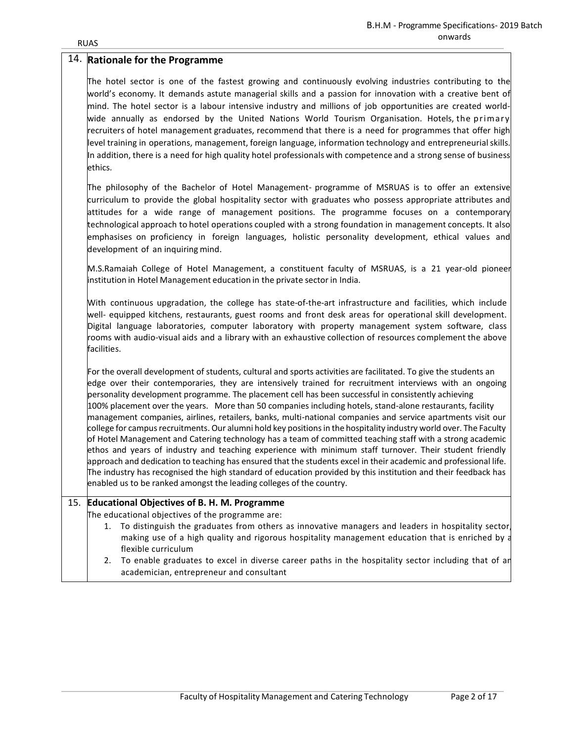|     | 14. Rationale for the Programme                                                                                                                                                                                                                                                                                                                                                                                                                                                                                                                                                                                                                                                                                                                                                                                                                                                                                                                                                                                                                                                                                                                                                                                            |
|-----|----------------------------------------------------------------------------------------------------------------------------------------------------------------------------------------------------------------------------------------------------------------------------------------------------------------------------------------------------------------------------------------------------------------------------------------------------------------------------------------------------------------------------------------------------------------------------------------------------------------------------------------------------------------------------------------------------------------------------------------------------------------------------------------------------------------------------------------------------------------------------------------------------------------------------------------------------------------------------------------------------------------------------------------------------------------------------------------------------------------------------------------------------------------------------------------------------------------------------|
|     | The hotel sector is one of the fastest growing and continuously evolving industries contributing to the<br>world's economy. It demands astute managerial skills and a passion for innovation with a creative bent of<br>mind. The hotel sector is a labour intensive industry and millions of job opportunities are created world-<br>wide annually as endorsed by the United Nations World Tourism Organisation. Hotels, the primary<br>recruiters of hotel management graduates, recommend that there is a need for programmes that offer high<br>level training in operations, management, foreign language, information technology and entrepreneurial skills.<br>In addition, there is a need for high quality hotel professionals with competence and a strong sense of business<br>ethics.                                                                                                                                                                                                                                                                                                                                                                                                                          |
|     | The philosophy of the Bachelor of Hotel Management- programme of MSRUAS is to offer an extensive<br>curriculum to provide the global hospitality sector with graduates who possess appropriate attributes and<br>attitudes for a wide range of management positions. The programme focuses on a contemporary<br>technological approach to hotel operations coupled with a strong foundation in management concepts. It also<br>emphasises on proficiency in foreign languages, holistic personality development, ethical values and<br>development of an inquiring mind.                                                                                                                                                                                                                                                                                                                                                                                                                                                                                                                                                                                                                                                   |
|     | M.S.Ramaiah College of Hotel Management, a constituent faculty of MSRUAS, is a 21 year-old pioneer<br>institution in Hotel Management education in the private sector in India.                                                                                                                                                                                                                                                                                                                                                                                                                                                                                                                                                                                                                                                                                                                                                                                                                                                                                                                                                                                                                                            |
|     | With continuous upgradation, the college has state-of-the-art infrastructure and facilities, which include<br>well- equipped kitchens, restaurants, guest rooms and front desk areas for operational skill development.<br>Digital language laboratories, computer laboratory with property management system software, class<br>rooms with audio-visual aids and a library with an exhaustive collection of resources complement the above<br>facilities.                                                                                                                                                                                                                                                                                                                                                                                                                                                                                                                                                                                                                                                                                                                                                                 |
|     | For the overall development of students, cultural and sports activities are facilitated. To give the students an<br>edge over their contemporaries, they are intensively trained for recruitment interviews with an ongoing<br>personality development programme. The placement cell has been successful in consistently achieving<br>100% placement over the years. More than 50 companies including hotels, stand-alone restaurants, facility<br>management companies, airlines, retailers, banks, multi-national companies and service apartments visit our<br>college for campus recruitments. Our alumni hold key positions in the hospitality industry world over. The Faculty<br>of Hotel Management and Catering technology has a team of committed teaching staff with a strong academic<br>ethos and years of industry and teaching experience with minimum staff turnover. Their student friendly<br>approach and dedication to teaching has ensured that the students excel in their academic and professional life.<br>The industry has recognised the high standard of education provided by this institution and their feedback has<br>enabled us to be ranked amongst the leading colleges of the country. |
| 15. | <b>Educational Objectives of B. H. M. Programme</b>                                                                                                                                                                                                                                                                                                                                                                                                                                                                                                                                                                                                                                                                                                                                                                                                                                                                                                                                                                                                                                                                                                                                                                        |
|     | The educational objectives of the programme are:<br>1. To distinguish the graduates from others as innovative managers and leaders in hospitality sector<br>making use of a high quality and rigorous hospitality management education that is enriched by a<br>flexible curriculum<br>To enable graduates to excel in diverse career paths in the hospitality sector including that of an<br>2.<br>academician, entrepreneur and consultant                                                                                                                                                                                                                                                                                                                                                                                                                                                                                                                                                                                                                                                                                                                                                                               |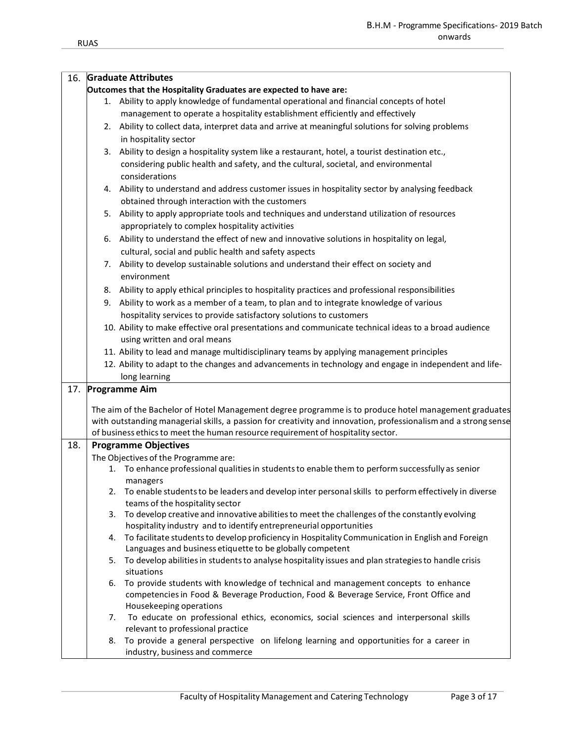| 16. |    | <b>Graduate Attributes</b>                                                                                      |
|-----|----|-----------------------------------------------------------------------------------------------------------------|
|     |    | Outcomes that the Hospitality Graduates are expected to have are:                                               |
|     |    | 1. Ability to apply knowledge of fundamental operational and financial concepts of hotel                        |
|     |    | management to operate a hospitality establishment efficiently and effectively                                   |
|     | 2. | Ability to collect data, interpret data and arrive at meaningful solutions for solving problems                 |
|     |    | in hospitality sector                                                                                           |
|     | 3. | Ability to design a hospitality system like a restaurant, hotel, a tourist destination etc.,                    |
|     |    |                                                                                                                 |
|     |    | considering public health and safety, and the cultural, societal, and environmental                             |
|     |    | considerations                                                                                                  |
|     | 4. | Ability to understand and address customer issues in hospitality sector by analysing feedback                   |
|     |    | obtained through interaction with the customers                                                                 |
|     | 5. | Ability to apply appropriate tools and techniques and understand utilization of resources                       |
|     |    | appropriately to complex hospitality activities                                                                 |
|     | 6. | Ability to understand the effect of new and innovative solutions in hospitality on legal,                       |
|     |    | cultural, social and public health and safety aspects                                                           |
|     | 7. | Ability to develop sustainable solutions and understand their effect on society and                             |
|     |    | environment                                                                                                     |
|     |    | 8. Ability to apply ethical principles to hospitality practices and professional responsibilities               |
|     | 9. | Ability to work as a member of a team, to plan and to integrate knowledge of various                            |
|     |    | hospitality services to provide satisfactory solutions to customers                                             |
|     |    | 10. Ability to make effective oral presentations and communicate technical ideas to a broad audience            |
|     |    |                                                                                                                 |
|     |    | using written and oral means                                                                                    |
|     |    | 11. Ability to lead and manage multidisciplinary teams by applying management principles                        |
|     |    | 12. Ability to adapt to the changes and advancements in technology and engage in independent and life-          |
|     |    | long learning                                                                                                   |
| 17. |    | <b>Programme Aim</b>                                                                                            |
|     |    | The aim of the Bachelor of Hotel Management degree programme is to produce hotel management graduates           |
|     |    | with outstanding managerial skills, a passion for creativity and innovation, professionalism and a strong sense |
|     |    | of business ethics to meet the human resource requirement of hospitality sector.                                |
| 18. |    | <b>Programme Objectives</b>                                                                                     |
|     |    | The Objectives of the Programme are:                                                                            |
|     |    | To enhance professional qualities in students to enable them to perform successfully as senior                  |
|     |    | managers                                                                                                        |
|     |    | To enable students to be leaders and develop inter personal skills to perform effectively in diverse            |
|     |    | teams of the hospitality sector                                                                                 |
|     | 3. | To develop creative and innovative abilities to meet the challenges of the constantly evolving                  |
|     |    | hospitality industry and to identify entrepreneurial opportunities                                              |
|     | 4. | To facilitate students to develop proficiency in Hospitality Communication in English and Foreign               |
|     |    | Languages and business etiquette to be globally competent                                                       |
|     | 5. | To develop abilities in students to analyse hospitality issues and plan strategies to handle crisis             |
|     |    | situations                                                                                                      |
|     | 6. | To provide students with knowledge of technical and management concepts to enhance                              |
|     |    | competencies in Food & Beverage Production, Food & Beverage Service, Front Office and                           |
|     |    | Housekeeping operations                                                                                         |
|     | 7. | To educate on professional ethics, economics, social sciences and interpersonal skills                          |
|     |    | relevant to professional practice                                                                               |
|     | 8. | To provide a general perspective on lifelong learning and opportunities for a career in                         |
|     |    | industry, business and commerce                                                                                 |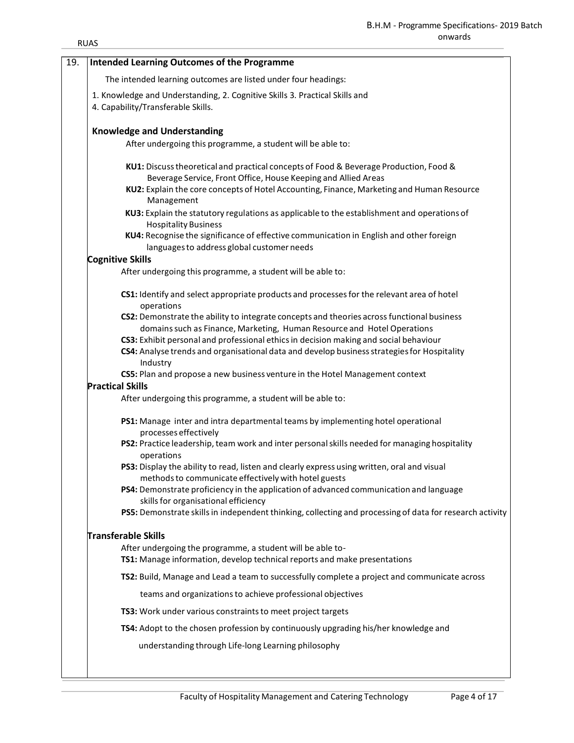| <b>RUAS</b> | uliwalus                                                                                                                                                |
|-------------|---------------------------------------------------------------------------------------------------------------------------------------------------------|
|             | <b>Intended Learning Outcomes of the Programme</b>                                                                                                      |
|             |                                                                                                                                                         |
|             | The intended learning outcomes are listed under four headings:                                                                                          |
|             | 1. Knowledge and Understanding, 2. Cognitive Skills 3. Practical Skills and<br>4. Capability/Transferable Skills.                                       |
|             | <b>Knowledge and Understanding</b>                                                                                                                      |
|             | After undergoing this programme, a student will be able to:                                                                                             |
|             | KU1: Discuss theoretical and practical concepts of Food & Beverage Production, Food &<br>Beverage Service, Front Office, House Keeping and Allied Areas |
|             | KU2: Explain the core concepts of Hotel Accounting, Finance, Marketing and Human Resource<br>Management                                                 |
|             | KU3: Explain the statutory regulations as applicable to the establishment and operations of<br><b>Hospitality Business</b>                              |
|             | KU4: Recognise the significance of effective communication in English and other foreign<br>languages to address global customer needs                   |
|             | <b>Cognitive Skills</b>                                                                                                                                 |
|             | After undergoing this programme, a student will be able to:                                                                                             |
|             | CS1: Identify and select appropriate products and processes for the relevant area of hotel<br>operations                                                |
|             | CS2: Demonstrate the ability to integrate concepts and theories across functional business                                                              |
|             | domains such as Finance, Marketing, Human Resource and Hotel Operations                                                                                 |
|             | CS3: Exhibit personal and professional ethics in decision making and social behaviour                                                                   |
|             | CS4: Analyse trends and organisational data and develop business strategies for Hospitality<br>Industry                                                 |
|             | CS5: Plan and propose a new business venture in the Hotel Management context                                                                            |
|             | <b>Practical Skills</b>                                                                                                                                 |
|             | After undergoing this programme, a student will be able to:                                                                                             |
|             | PS1: Manage inter and intra departmental teams by implementing hotel operational<br>processes effectively                                               |
|             | PS2: Practice leadership, team work and inter personal skills needed for managing hospitality<br>operations                                             |
|             | PS3: Display the ability to read, listen and clearly express using written, oral and visual<br>methods to communicate effectively with hotel guests     |
|             | PS4: Demonstrate proficiency in the application of advanced communication and language<br>skills for organisational efficiency                          |
|             | PS5: Demonstrate skills in independent thinking, collecting and processing of data for research activity                                                |
|             | Transferable Skills                                                                                                                                     |
|             | After undergoing the programme, a student will be able to-                                                                                              |
|             | TS1: Manage information, develop technical reports and make presentations                                                                               |
|             | TS2: Build, Manage and Lead a team to successfully complete a project and communicate across                                                            |
|             | teams and organizations to achieve professional objectives                                                                                              |
|             | TS3: Work under various constraints to meet project targets                                                                                             |
|             | TS4: Adopt to the chosen profession by continuously upgrading his/her knowledge and                                                                     |
|             | understanding through Life-long Learning philosophy                                                                                                     |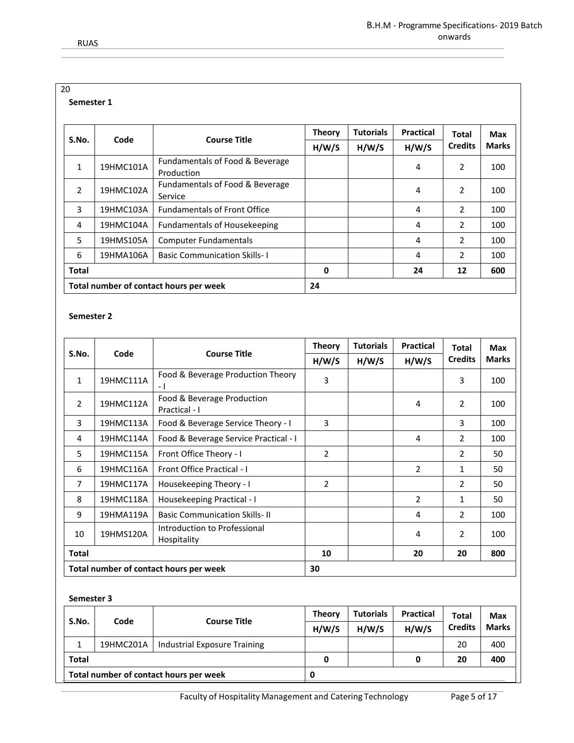| 20             |           |                                               |               |                  |                  |                |              |
|----------------|-----------|-----------------------------------------------|---------------|------------------|------------------|----------------|--------------|
| Semester 1     |           |                                               |               |                  |                  |                |              |
|                |           |                                               |               |                  |                  |                |              |
|                | Code      | <b>Course Title</b>                           | <b>Theory</b> | <b>Tutorials</b> | <b>Practical</b> | <b>Total</b>   | Max          |
| S.No.          |           |                                               | H/W/S         | H/W/S            | H/W/S            | <b>Credits</b> | <b>Marks</b> |
| 1              | 19HMC101A | Fundamentals of Food & Beverage<br>Production |               |                  | 4                | 2              | 100          |
| $\overline{2}$ | 19HMC102A | Fundamentals of Food & Beverage<br>Service    |               |                  | 4                | 2              | 100          |
| 3              | 19HMC103A | <b>Fundamentals of Front Office</b>           |               |                  | 4                | $\overline{2}$ | 100          |
| 4              | 19HMC104A | <b>Fundamentals of Housekeeping</b>           |               |                  | 4                | 2              | 100          |
| 5              | 19HMS105A | <b>Computer Fundamentals</b>                  |               |                  | 4                | $\overline{2}$ | 100          |
| 6              | 19HMA106A | <b>Basic Communication Skills-1</b>           |               |                  | 4                | $\overline{2}$ | 100          |
| <b>Total</b>   |           |                                               | 0             |                  | 24               | 12             | 600          |
|                |           | Total number of contact hours per week        | 24            |                  |                  |                |              |

#### **Semester 2**

|                                        |           |                                             | <b>Theory</b>  | <b>Tutorials</b> | <b>Practical</b> | <b>Total</b>   | <b>Max</b>   |
|----------------------------------------|-----------|---------------------------------------------|----------------|------------------|------------------|----------------|--------------|
| S.No.                                  | Code      | <b>Course Title</b>                         | H/W/S          | H/W/S            | H/W/S            | <b>Credits</b> | <b>Marks</b> |
| 1                                      | 19HMC111A | Food & Beverage Production Theory<br>- 1    | 3              |                  |                  | 3              | 100          |
| $\overline{\phantom{a}}$               | 19HMC112A | Food & Beverage Production<br>Practical - I |                |                  | 4                | $\overline{2}$ | 100          |
| 3                                      | 19HMC113A | Food & Beverage Service Theory - I          | 3              |                  |                  | 3              | 100          |
| 4                                      | 19HMC114A | Food & Beverage Service Practical - I       |                |                  | 4                | 2              | 100          |
| 5                                      | 19HMC115A | Front Office Theory - I                     | $\overline{2}$ |                  |                  | $\overline{2}$ | 50           |
| 6                                      | 19HMC116A | <b>Front Office Practical - I</b>           |                |                  | 2                | 1              | 50           |
| $\overline{7}$                         | 19HMC117A | Housekeeping Theory - I                     | 2              |                  |                  | $\overline{2}$ | 50           |
| 8                                      | 19HMC118A | Housekeeping Practical - I                  |                |                  | $\overline{2}$   | 1              | 50           |
| 9                                      | 19HMA119A | <b>Basic Communication Skills-II</b>        |                |                  | 4                | 2              | 100          |
| 10                                     | 19HMS120A | Introduction to Professional<br>Hospitality |                |                  | 4                | $\overline{2}$ | 100          |
| <b>Total</b>                           |           | 10                                          |                | 20               | 20               | 800            |              |
| Total number of contact hours per week |           | 30                                          |                |                  |                  |                |              |

| S.No.                                  | Code      | <b>Course Title</b>          | <b>Theory</b><br>H/W/S | <b>Tutorials</b><br>H/W/S | <b>Practical</b><br>H/W/S | <b>Total</b><br><b>Credits</b> | Max<br><b>Marks</b> |
|----------------------------------------|-----------|------------------------------|------------------------|---------------------------|---------------------------|--------------------------------|---------------------|
|                                        | 19HMC201A | Industrial Exposure Training |                        |                           |                           | 20                             | 400                 |
| <b>Total</b>                           |           |                              | 0                      |                           | 0                         | 20                             | 400                 |
| Total number of contact hours per week |           |                              |                        |                           |                           |                                |                     |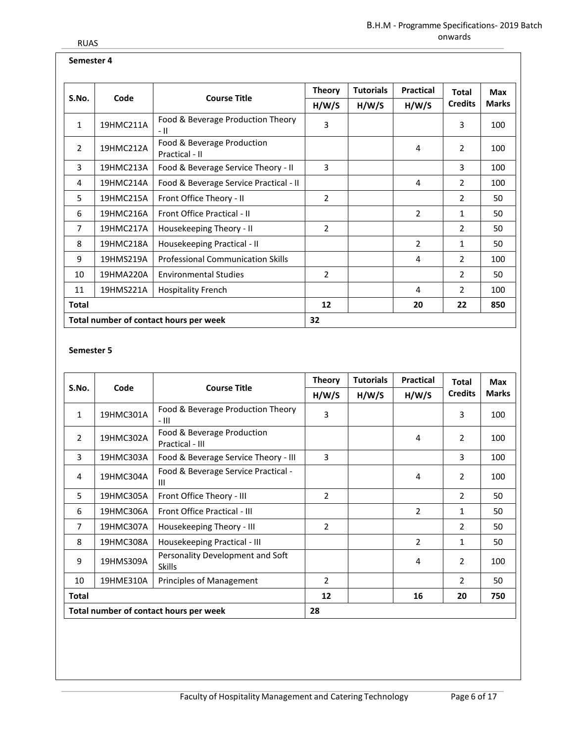## **Semester 4**

|                                        |           |                                              | <b>Tutorials</b><br><b>Theory</b> | <b>Practical</b> | <b>Total</b>   | Max            |              |
|----------------------------------------|-----------|----------------------------------------------|-----------------------------------|------------------|----------------|----------------|--------------|
| S.No.                                  | Code      | <b>Course Title</b>                          | H/W/S                             | H/W/S            | H/W/S          | <b>Credits</b> | <b>Marks</b> |
| 1                                      | 19HMC211A | Food & Beverage Production Theory<br>- 11    | 3                                 |                  |                | 3              | 100          |
| $\overline{2}$                         | 19HMC212A | Food & Beverage Production<br>Practical - II |                                   |                  | 4              | 2              | 100          |
| 3                                      | 19HMC213A | Food & Beverage Service Theory - II          | 3                                 |                  |                | 3              | 100          |
| 4                                      | 19HMC214A | Food & Beverage Service Practical - II       |                                   |                  | 4              | $\overline{2}$ | 100          |
| 5                                      | 19HMC215A | Front Office Theory - II                     | 2                                 |                  |                | $\mathcal{P}$  | 50           |
| 6                                      | 19HMC216A | Front Office Practical - II                  |                                   |                  | $\overline{2}$ | 1              | 50           |
| 7                                      | 19HMC217A | Housekeeping Theory - II                     | 2                                 |                  |                | 2              | 50           |
| 8                                      | 19HMC218A | Housekeeping Practical - II                  |                                   |                  | 2              | 1              | 50           |
| 9                                      | 19HMS219A | <b>Professional Communication Skills</b>     |                                   |                  | 4              | $\overline{2}$ | 100          |
| 10                                     | 19HMA220A | <b>Environmental Studies</b>                 | 2                                 |                  |                | $\overline{2}$ | 50           |
| 11                                     | 19HMS221A | <b>Hospitality French</b>                    |                                   |                  | 4              | 2              | 100          |
| <b>Total</b>                           |           | 12                                           |                                   | 20               | 22             | 850            |              |
| Total number of contact hours per week |           | 32                                           |                                   |                  |                |                |              |

|                |                                        |                                                   | <b>Theory</b> | <b>Tutorials</b> | <b>Practical</b> | <b>Total</b>   | Max          |
|----------------|----------------------------------------|---------------------------------------------------|---------------|------------------|------------------|----------------|--------------|
| S.No.          | Code                                   | <b>Course Title</b>                               | H/W/S         | H/W/S            | H/W/S            | <b>Credits</b> | <b>Marks</b> |
| $\mathbf{1}$   | 19HMC301A                              | Food & Beverage Production Theory<br>$-$ III      | 3             |                  |                  | 3              | 100          |
| $\overline{2}$ | 19HMC302A                              | Food & Beverage Production<br>Practical - III     |               |                  | 4                | 2              | 100          |
| 3              | 19HMC303A                              | Food & Beverage Service Theory - III              | 3             |                  |                  | 3              | 100          |
| 4              | 19HMC304A                              | Food & Beverage Service Practical -<br>Ш          |               |                  | 4                | 2              | 100          |
| 5              | 19HMC305A                              | Front Office Theory - III                         | 2             |                  |                  | 2              | 50           |
| 6              | 19HMC306A                              | Front Office Practical - III                      |               |                  | $\overline{2}$   | $\mathbf{1}$   | 50           |
| $\overline{7}$ | 19HMC307A                              | Housekeeping Theory - III                         | 2             |                  |                  | 2              | 50           |
| 8              | 19HMC308A                              | Housekeeping Practical - III                      |               |                  | $\overline{2}$   | 1              | 50           |
| 9              | 19HMS309A                              | Personality Development and Soft<br><b>Skills</b> |               |                  | 4                | 2              | 100          |
| 10             | 19HME310A                              | Principles of Management                          | 2             |                  |                  | $\overline{2}$ | 50           |
| Total          |                                        | 12                                                |               | 16               | 20               | 750            |              |
|                | Total number of contact hours per week |                                                   | 28            |                  |                  |                |              |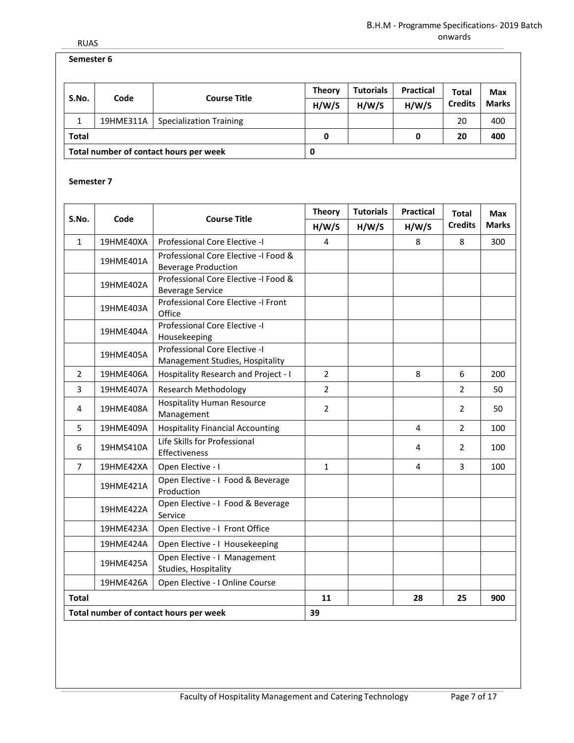## **Semester 6**

| S.No.                                  | Code      | <b>Course Title</b>            | <b>Theory</b><br>H/W/S | <b>Tutorials</b><br>H/W/S | <b>Practical</b><br>H/W/S | <b>Total</b><br><b>Credits</b> | Max<br><b>Marks</b> |
|----------------------------------------|-----------|--------------------------------|------------------------|---------------------------|---------------------------|--------------------------------|---------------------|
|                                        | 19HME311A | <b>Specialization Training</b> |                        |                           |                           | 20                             | 400                 |
| <b>Total</b>                           |           |                                | 0                      |                           | 0                         | 20                             | 400                 |
| Total number of contact hours per week |           | 0                              |                        |                           |                           |                                |                     |

| S.No.          | Code                                   | <b>Course Title</b>                                                | <b>Theory</b>  | <b>Tutorials</b> | <b>Practical</b> | <b>Total</b>   | <b>Max</b>   |
|----------------|----------------------------------------|--------------------------------------------------------------------|----------------|------------------|------------------|----------------|--------------|
|                |                                        |                                                                    | H/W/S          | H/W/S            | H/W/S            | <b>Credits</b> | <b>Marks</b> |
| $\mathbf{1}$   | 19HME40XA                              | Professional Core Elective -I                                      | $\overline{4}$ |                  | 8                | 8              | 300          |
|                | 19HME401A                              | Professional Core Elective -I Food &<br><b>Beverage Production</b> |                |                  |                  |                |              |
|                | 19HME402A                              | Professional Core Elective -I Food &<br><b>Beverage Service</b>    |                |                  |                  |                |              |
|                | 19HME403A                              | Professional Core Elective -I Front<br>Office                      |                |                  |                  |                |              |
|                | 19HME404A                              | Professional Core Elective -I<br>Housekeeping                      |                |                  |                  |                |              |
|                | 19HME405A                              | Professional Core Elective -I<br>Management Studies, Hospitality   |                |                  |                  |                |              |
| $\overline{2}$ | 19HME406A                              | Hospitality Research and Project - I                               | $\overline{2}$ |                  | 8                | 6              | 200          |
| 3              | 19HME407A                              | <b>Research Methodology</b>                                        | $\overline{2}$ |                  |                  | $\overline{2}$ | 50           |
| 4              | 19HME408A                              | <b>Hospitality Human Resource</b><br>Management                    | $\overline{2}$ |                  |                  | 2              | 50           |
| 5              | 19HME409A                              | <b>Hospitality Financial Accounting</b>                            |                |                  | 4                | $\overline{2}$ | 100          |
| 6              | 19HMS410A                              | Life Skills for Professional<br>Effectiveness                      |                |                  | 4                | 2              | 100          |
| $\overline{7}$ | 19HME42XA                              | Open Elective - I                                                  | $\mathbf{1}$   |                  | 4                | 3              | 100          |
|                | 19HME421A                              | Open Elective - I Food & Beverage<br>Production                    |                |                  |                  |                |              |
|                | 19HME422A                              | Open Elective - I Food & Beverage<br>Service                       |                |                  |                  |                |              |
|                | 19HME423A                              | Open Elective - I Front Office                                     |                |                  |                  |                |              |
|                | 19HME424A                              | Open Elective - I Housekeeping                                     |                |                  |                  |                |              |
|                | 19HME425A                              | Open Elective - I Management<br>Studies, Hospitality               |                |                  |                  |                |              |
|                | 19HME426A                              | Open Elective - I Online Course                                    |                |                  |                  |                |              |
| Total          |                                        |                                                                    |                |                  | 28               | 25             | 900          |
|                | Total number of contact hours per week |                                                                    | 39             |                  |                  |                |              |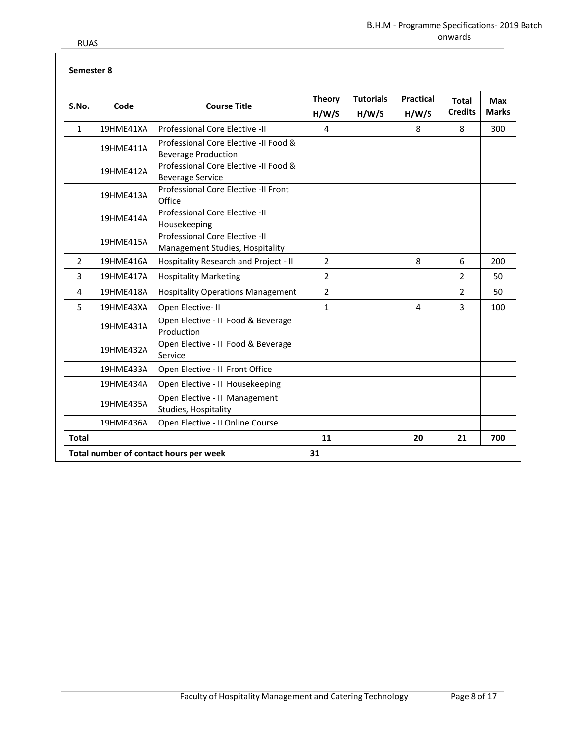|                |           |                                                                     | <b>Theory</b>  | <b>Tutorials</b> | <b>Practical</b> | <b>Total</b>   | Max          |  |
|----------------|-----------|---------------------------------------------------------------------|----------------|------------------|------------------|----------------|--------------|--|
| S.No.          | Code      | <b>Course Title</b>                                                 | H/W/S          | H/W/S            | H/W/S            | <b>Credits</b> | <b>Marks</b> |  |
| $\mathbf{1}$   | 19HME41XA | Professional Core Elective -II                                      | $\overline{4}$ |                  | 8                | 8              | 300          |  |
|                | 19HME411A | Professional Core Elective -II Food &<br><b>Beverage Production</b> |                |                  |                  |                |              |  |
|                | 19HME412A | Professional Core Elective -II Food &<br><b>Beverage Service</b>    |                |                  |                  |                |              |  |
|                | 19HME413A | Professional Core Elective -II Front<br>Office                      |                |                  |                  |                |              |  |
|                | 19HME414A | Professional Core Elective -II<br>Housekeeping                      |                |                  |                  |                |              |  |
|                | 19HME415A | Professional Core Elective -II<br>Management Studies, Hospitality   |                |                  |                  |                |              |  |
| $\overline{2}$ | 19HME416A | Hospitality Research and Project - II                               | $\overline{2}$ |                  | 8                | 6              | 200          |  |
| 3              | 19HME417A | <b>Hospitality Marketing</b>                                        | $\overline{2}$ |                  |                  | $\overline{2}$ | 50           |  |
| 4              | 19HME418A | <b>Hospitality Operations Management</b>                            | $\overline{2}$ |                  |                  | $\overline{2}$ | 50           |  |
| 5              | 19HME43XA | Open Elective-II                                                    | $\mathbf{1}$   |                  | 4                | 3              | 100          |  |
|                | 19HME431A | Open Elective - II Food & Beverage<br>Production                    |                |                  |                  |                |              |  |
|                | 19HME432A | Open Elective - II Food & Beverage<br>Service                       |                |                  |                  |                |              |  |
|                | 19HME433A | Open Elective - II Front Office                                     |                |                  |                  |                |              |  |
|                | 19HME434A | Open Elective - II Housekeeping                                     |                |                  |                  |                |              |  |
|                | 19HME435A | Open Elective - II Management<br>Studies, Hospitality               |                |                  |                  |                |              |  |
|                | 19HME436A | Open Elective - Il Online Course                                    |                |                  |                  |                |              |  |
| <b>Total</b>   |           |                                                                     | 11             |                  | 20               | 21             | 700          |  |
|                |           | Total number of contact hours per week                              | 31             |                  |                  |                |              |  |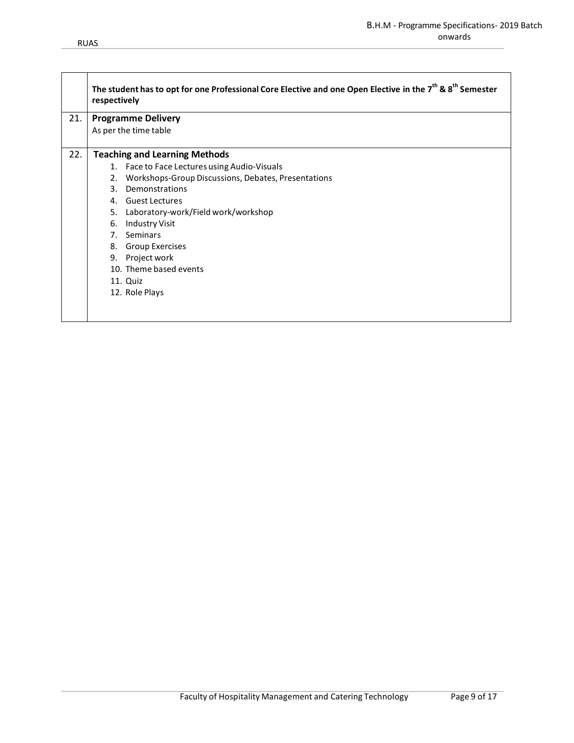٦

|     | The student has to opt for one Professional Core Elective and one Open Elective in the $7th$ & $8th$ Semester<br>respectively |  |  |  |  |  |  |  |  |  |  |  |
|-----|-------------------------------------------------------------------------------------------------------------------------------|--|--|--|--|--|--|--|--|--|--|--|
| 21. | <b>Programme Delivery</b>                                                                                                     |  |  |  |  |  |  |  |  |  |  |  |
|     | As per the time table                                                                                                         |  |  |  |  |  |  |  |  |  |  |  |
| 22. | <b>Teaching and Learning Methods</b>                                                                                          |  |  |  |  |  |  |  |  |  |  |  |
|     | 1. Face to Face Lectures using Audio-Visuals                                                                                  |  |  |  |  |  |  |  |  |  |  |  |
|     | Workshops-Group Discussions, Debates, Presentations<br>2.                                                                     |  |  |  |  |  |  |  |  |  |  |  |
|     | Demonstrations<br>3.                                                                                                          |  |  |  |  |  |  |  |  |  |  |  |
|     | 4. Guest Lectures                                                                                                             |  |  |  |  |  |  |  |  |  |  |  |
|     | 5. Laboratory-work/Field work/workshop                                                                                        |  |  |  |  |  |  |  |  |  |  |  |
|     | Industry Visit<br>6.                                                                                                          |  |  |  |  |  |  |  |  |  |  |  |
|     | 7. Seminars                                                                                                                   |  |  |  |  |  |  |  |  |  |  |  |
|     | <b>Group Exercises</b><br>8.                                                                                                  |  |  |  |  |  |  |  |  |  |  |  |
|     | 9. Project work                                                                                                               |  |  |  |  |  |  |  |  |  |  |  |
|     | 10. Theme based events                                                                                                        |  |  |  |  |  |  |  |  |  |  |  |
|     | 11. Quiz                                                                                                                      |  |  |  |  |  |  |  |  |  |  |  |
|     | 12. Role Plays                                                                                                                |  |  |  |  |  |  |  |  |  |  |  |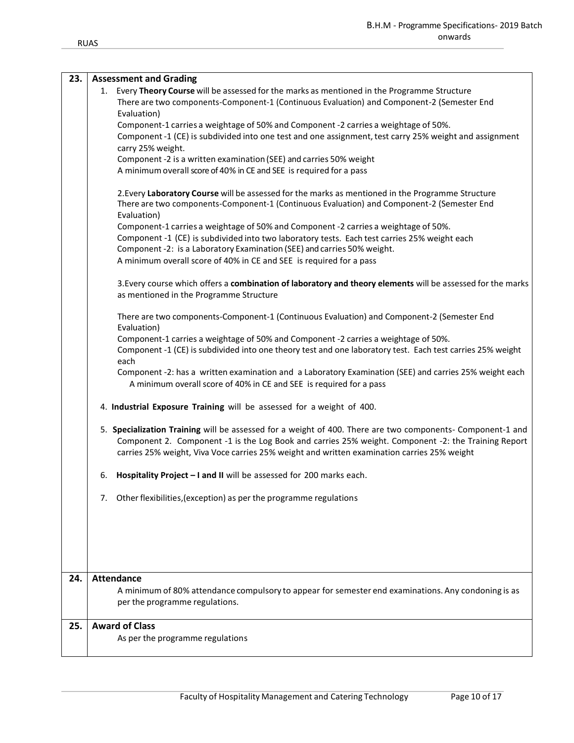| 23. | <b>Assessment and Grading</b>                                                                                                                                                                                                                                                                                    |
|-----|------------------------------------------------------------------------------------------------------------------------------------------------------------------------------------------------------------------------------------------------------------------------------------------------------------------|
|     | 1. Every Theory Course will be assessed for the marks as mentioned in the Programme Structure<br>There are two components-Component-1 (Continuous Evaluation) and Component-2 (Semester End                                                                                                                      |
|     | Evaluation)                                                                                                                                                                                                                                                                                                      |
|     | Component-1 carries a weightage of 50% and Component -2 carries a weightage of 50%.                                                                                                                                                                                                                              |
|     | Component -1 (CE) is subdivided into one test and one assignment, test carry 25% weight and assignment<br>carry 25% weight.                                                                                                                                                                                      |
|     | Component -2 is a written examination (SEE) and carries 50% weight                                                                                                                                                                                                                                               |
|     | A minimum overall score of 40% in CE and SEE is required for a pass                                                                                                                                                                                                                                              |
|     | 2. Every Laboratory Course will be assessed for the marks as mentioned in the Programme Structure<br>There are two components-Component-1 (Continuous Evaluation) and Component-2 (Semester End<br>Evaluation)                                                                                                   |
|     | Component-1 carries a weightage of 50% and Component -2 carries a weightage of 50%.                                                                                                                                                                                                                              |
|     | Component -1 (CE) is subdivided into two laboratory tests. Each test carries 25% weight each<br>Component -2: is a Laboratory Examination (SEE) and carries 50% weight.                                                                                                                                          |
|     | A minimum overall score of 40% in CE and SEE is required for a pass                                                                                                                                                                                                                                              |
|     | 3. Every course which offers a combination of laboratory and theory elements will be assessed for the marks<br>as mentioned in the Programme Structure                                                                                                                                                           |
|     | There are two components-Component-1 (Continuous Evaluation) and Component-2 (Semester End<br>Evaluation)                                                                                                                                                                                                        |
|     | Component-1 carries a weightage of 50% and Component -2 carries a weightage of 50%.                                                                                                                                                                                                                              |
|     | Component -1 (CE) is subdivided into one theory test and one laboratory test. Each test carries 25% weight<br>each                                                                                                                                                                                               |
|     | Component -2: has a written examination and a Laboratory Examination (SEE) and carries 25% weight each<br>A minimum overall score of 40% in CE and SEE is required for a pass                                                                                                                                    |
|     | 4. Industrial Exposure Training will be assessed for a weight of 400.                                                                                                                                                                                                                                            |
|     | 5. Specialization Training will be assessed for a weight of 400. There are two components- Component-1 and<br>Component 2. Component -1 is the Log Book and carries 25% weight. Component -2: the Training Report<br>carries 25% weight, Viva Voce carries 25% weight and written examination carries 25% weight |
|     | Hospitality Project - I and II will be assessed for 200 marks each.<br>6.                                                                                                                                                                                                                                        |
|     | 7. Other flexibilities, (exception) as per the programme regulations                                                                                                                                                                                                                                             |
|     |                                                                                                                                                                                                                                                                                                                  |
|     |                                                                                                                                                                                                                                                                                                                  |
|     |                                                                                                                                                                                                                                                                                                                  |
| 24. | <b>Attendance</b><br>A minimum of 80% attendance compulsory to appear for semester end examinations. Any condoning is as                                                                                                                                                                                         |
|     | per the programme regulations.                                                                                                                                                                                                                                                                                   |
| 25. | <b>Award of Class</b>                                                                                                                                                                                                                                                                                            |
|     | As per the programme regulations                                                                                                                                                                                                                                                                                 |
|     |                                                                                                                                                                                                                                                                                                                  |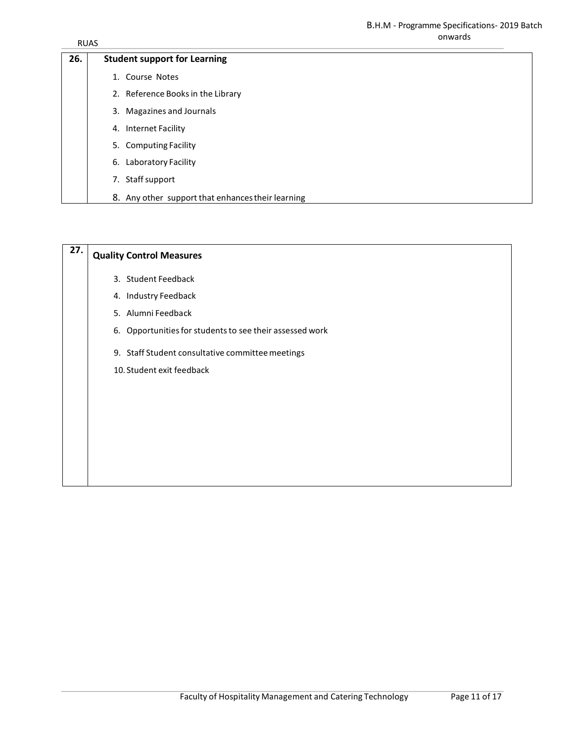| 26. | <b>Student support for Learning</b>               |
|-----|---------------------------------------------------|
|     | 1. Course Notes                                   |
|     | 2. Reference Books in the Library                 |
|     | 3. Magazines and Journals                         |
|     | 4. Internet Facility                              |
|     | 5. Computing Facility                             |
|     | 6. Laboratory Facility                            |
|     | 7. Staff support                                  |
|     | 8. Any other support that enhances their learning |

| 27. | <b>Quality Control Measures</b>                          |
|-----|----------------------------------------------------------|
|     | 3. Student Feedback                                      |
|     | 4. Industry Feedback                                     |
|     | 5. Alumni Feedback                                       |
|     | 6. Opportunities for students to see their assessed work |
|     | 9. Staff Student consultative committee meetings         |
|     | 10. Student exit feedback                                |
|     |                                                          |
|     |                                                          |
|     |                                                          |
|     |                                                          |
|     |                                                          |
|     |                                                          |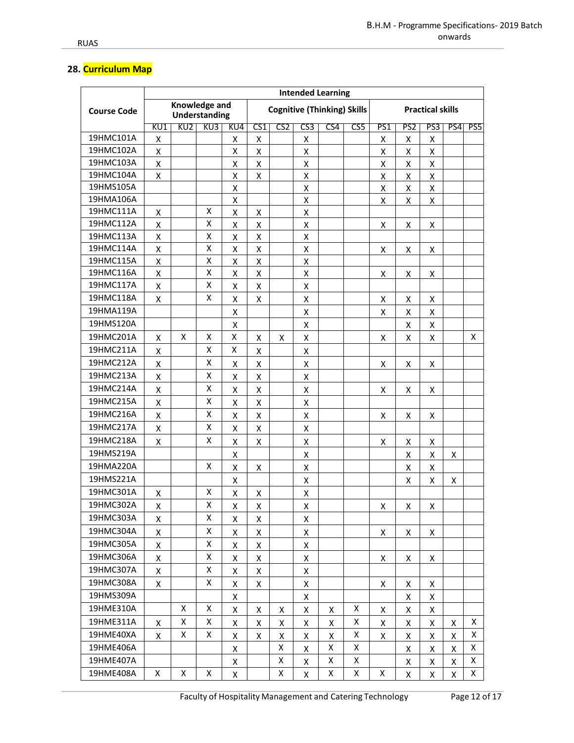# 28. Curriculum Map

|                    | <b>Intended Learning</b>              |                 |     |                                    |                    |                 |                    |                         |     |     |                    |     |     |     |
|--------------------|---------------------------------------|-----------------|-----|------------------------------------|--------------------|-----------------|--------------------|-------------------------|-----|-----|--------------------|-----|-----|-----|
| <b>Course Code</b> | Knowledge and<br><b>Understanding</b> |                 |     | <b>Cognitive (Thinking) Skills</b> |                    |                 |                    | <b>Practical skills</b> |     |     |                    |     |     |     |
|                    | KU1                                   | KU <sub>2</sub> | KU3 | KU4                                | CS <sub>1</sub>    | CS <sub>2</sub> | CS3                | CS4                     | CS5 | PS1 | PS2                | PS3 | PS4 | PS5 |
| 19HMC101A          | Χ                                     |                 |     | Χ                                  | X                  |                 | Χ                  |                         |     | Χ   | Χ                  | X   |     |     |
| 19HMC102A          | $\pmb{\mathsf{X}}$                    |                 |     | Χ                                  | Χ                  |                 | X                  |                         |     | Χ   | X                  | Χ   |     |     |
| 19HMC103A          | X                                     |                 |     | X                                  | X                  |                 | X                  |                         |     | Χ   | X                  | X   |     |     |
| 19HMC104A          | X                                     |                 |     | X                                  | X                  |                 | Χ                  |                         |     | Χ   | X                  | X   |     |     |
| 19HMS105A          |                                       |                 |     | Χ                                  |                    |                 | Χ                  |                         |     | Χ   | Χ                  | Χ   |     |     |
| 19HMA106A          |                                       |                 |     | X                                  |                    |                 | X                  |                         |     | X   | X                  | X   |     |     |
| 19HMC111A          | X                                     |                 | X   | X                                  | X                  |                 | X                  |                         |     |     |                    |     |     |     |
| 19HMC112A          | Χ                                     |                 | Χ   | Χ                                  | Χ                  |                 | X                  |                         |     | Χ   | X                  | Χ   |     |     |
| 19HMC113A          | $\pmb{\mathsf{X}}$                    |                 | Χ   | X                                  | Χ                  |                 | Χ                  |                         |     |     |                    |     |     |     |
| 19HMC114A          | Χ                                     |                 | Χ   | X                                  | Χ                  |                 | X                  |                         |     | Χ   | X                  | X   |     |     |
| 19HMC115A          | $\pmb{\mathsf{X}}$                    |                 | Χ   | Χ                                  | Χ                  |                 | X                  |                         |     |     |                    |     |     |     |
| 19HMC116A          | Χ                                     |                 | Χ   | X                                  | X                  |                 | X                  |                         |     | Χ   | Χ                  | X   |     |     |
| 19HMC117A          | Χ                                     |                 | x   | Χ                                  | X                  |                 | X                  |                         |     |     |                    |     |     |     |
| 19HMC118A          | X                                     |                 | X   | X                                  | X                  |                 | X                  |                         |     | X   | X                  | X   |     |     |
| 19HMA119A          |                                       |                 |     | Χ                                  |                    |                 | X                  |                         |     | X   | $\pmb{\mathsf{X}}$ | Χ   |     |     |
| 19HMS120A          |                                       |                 |     | Χ                                  |                    |                 | X                  |                         |     |     | Χ                  | X   |     |     |
| 19HMC201A          | $\pmb{\mathsf{X}}$                    | X               | x   | X                                  | Χ                  | X               | X                  |                         |     | Χ   | X                  | Χ   |     | Χ   |
| 19HMC211A          | Χ                                     |                 | Χ   | X                                  | X                  |                 | X                  |                         |     |     |                    |     |     |     |
| 19HMC212A          | X                                     |                 | Χ   | X                                  | X                  |                 | X                  |                         |     | Χ   | x                  | X   |     |     |
| 19HMC213A          | Χ                                     |                 | X   | X                                  | X                  |                 | X                  |                         |     |     |                    |     |     |     |
| 19HMC214A          | $\pmb{\mathsf{X}}$                    |                 | Χ   | X                                  | X                  |                 | X                  |                         |     | X   | X                  | X   |     |     |
| 19HMC215A          | $\pmb{\mathsf{X}}$                    |                 | x   | Χ                                  | Χ                  |                 | X                  |                         |     |     |                    |     |     |     |
| 19HMC216A          | $\pmb{\mathsf{X}}$                    |                 | Χ   | Χ                                  | Χ                  |                 | Χ                  |                         |     | X   | X                  | X   |     |     |
| 19HMC217A          | X                                     |                 | Χ   | X                                  | Χ                  |                 | X                  |                         |     |     |                    |     |     |     |
| 19HMC218A          | $\pmb{\mathsf{X}}$                    |                 | Χ   | Χ                                  | Χ                  |                 | X                  |                         |     | Χ   | X                  | X   |     |     |
| 19HMS219A          |                                       |                 |     | Χ                                  |                    |                 | X                  |                         |     |     | X                  | X   | X   |     |
| 19HMA220A          |                                       |                 | x   | X                                  | X                  |                 | X                  |                         |     |     | X                  | Χ   |     |     |
| 19HMS221A          |                                       |                 |     | X                                  |                    |                 | X                  |                         |     |     | X                  | X   | X   |     |
| 19HMC301A          | X                                     |                 | Χ   | X                                  | x                  |                 | X                  |                         |     |     |                    |     |     |     |
| 19HMC302A          | $\pmb{\mathsf{X}}$                    |                 | Χ   | $\pmb{\mathsf{X}}$                 | $\pmb{\mathsf{X}}$ |                 | $\pmb{\mathsf{X}}$ |                         |     | Χ   | X                  | X   |     |     |
| 19HMC303A          | х                                     |                 | X   | X                                  | X                  |                 | X                  |                         |     |     |                    |     |     |     |
| 19HMC304A          | Χ                                     |                 | x   | X                                  | X                  |                 | X                  |                         |     | X   | Χ                  | Χ   |     |     |
| 19HMC305A          | Χ                                     |                 | Χ   | X                                  | X                  |                 | X                  |                         |     |     |                    |     |     |     |
| 19HMC306A          | X                                     |                 | Χ   | X                                  | X                  |                 | X                  |                         |     | X   | Χ                  | X   |     |     |
| 19HMC307A          | $\pmb{\mathsf{X}}$                    |                 | Χ   | X                                  | X                  |                 | X                  |                         |     |     |                    |     |     |     |
| 19HMC308A          | Χ                                     |                 | Χ   | X                                  | X                  |                 | X                  |                         |     | Χ   | X                  | X   |     |     |
| 19HMS309A          |                                       |                 |     | X                                  |                    |                 | X                  |                         |     |     | X                  | X   |     |     |
| 19HME310A          |                                       | X               | X   | X                                  | X                  | X               | X                  | X                       | X   | X   | X                  | X   |     |     |
| 19HME311A          |                                       | X               | Χ   |                                    |                    |                 |                    |                         | X   |     |                    |     |     | X   |
| 19HME40XA          | X                                     | Χ               | X   | X                                  | Χ                  | X               | X                  | X                       | X   | x   | X                  | X   | X   | X   |
| 19HME406A          | X                                     |                 |     | X                                  | X                  | Χ<br>Χ          | X                  | Χ<br>X                  | X   | Χ   | X                  | Χ   | Χ   | Χ   |
| 19HME407A          |                                       |                 |     | X                                  |                    | Χ               | X                  | Χ                       | X   |     | X                  | X   | X   |     |
|                    |                                       |                 |     | X                                  |                    |                 | X                  |                         |     |     | X                  | X   | X   | X   |
| 19HME408A          | X                                     | X               | x   | X                                  |                    | Χ               | X                  | Χ                       | X   | X   | X                  | X   | Χ   | X   |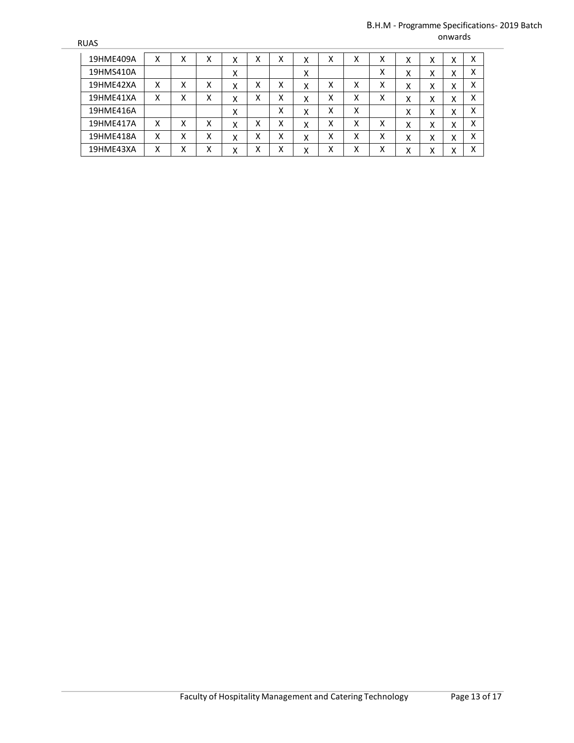#### B.H.M - Programme Specifications- 2019 Batch onwards

| 19HME409A | x | v<br>⋏ | χ | Χ | Χ | v<br>л | X | Χ | x | χ | x | X | X | Χ |
|-----------|---|--------|---|---|---|--------|---|---|---|---|---|---|---|---|
| 19HMS410A |   |        |   | Χ |   |        | x |   |   | X | x | X | X | Χ |
| 19HME42XA | x | v<br>⋏ | Χ | Χ | Χ | x      | X | Χ | х | Χ | x | Χ | X | x |
| 19HME41XA | X | v<br>⋏ | x | Χ | Χ | v<br>v | Χ | х | x | χ | x | X | X | Χ |
| 19HME416A |   |        |   | Χ |   | X      | Χ | X | X |   | X | X | X | Χ |
| 19HME417A | x | v<br>⋏ | x | Χ | Χ | x      | Χ | Χ | X | χ | x | χ | X | x |
| 19HME418A | X | v<br>⋏ | x | Χ | Χ | X      | Χ | Χ | X | χ | x | X | X | Χ |
| 19HME43XA | х | v<br>⋏ | Χ | Χ | Χ | v<br>ᄉ | Χ | Χ | Χ | χ | Χ | х | X | Χ |

**RUAS**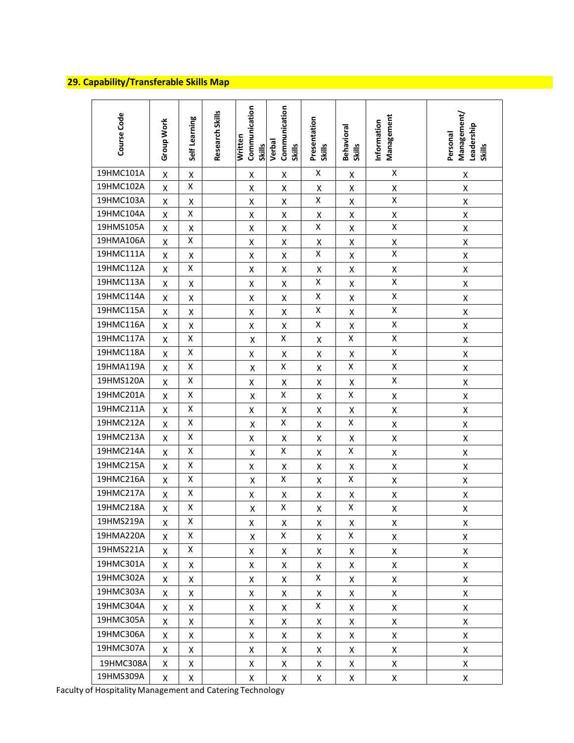# 29. Capability/Transferable Skills Map<br>
29. Capability/Transferable Skills Map

| Course Code | <b>Group Work</b>  | Self Learning | Research Skills | Communication<br><b>Written</b><br><b>Skills</b> | Communication<br>Verbal<br><b>Skills</b> | Presentation<br><b>Skills</b> | Behavioral<br>Skills | Management<br>Information | Management/<br>Leadership<br>Personal<br><b>Skills</b> |
|-------------|--------------------|---------------|-----------------|--------------------------------------------------|------------------------------------------|-------------------------------|----------------------|---------------------------|--------------------------------------------------------|
| 19HMC101A   | $\pmb{\mathsf{X}}$ | Χ             |                 | X                                                | X                                        | X                             | X                    | X                         | X                                                      |
| 19HMC102A   | Χ                  | X             |                 | X                                                | Χ                                        | X                             | X                    | X                         | $\pmb{\mathsf{X}}$                                     |
| 19HMC103A   | Χ                  | Χ             |                 | Χ                                                | X                                        | Χ                             | Χ                    | Χ                         | X                                                      |
| 19HMC104A   | $\pmb{\mathsf{X}}$ | Χ             |                 | Χ                                                | $\pmb{\mathsf{X}}$                       | X                             | Χ                    | X                         | $\pmb{\mathsf{X}}$                                     |
| 19HMS105A   | $\pmb{\mathsf{X}}$ | Χ             |                 | Χ                                                | Χ                                        | X                             | Χ                    | X                         | $\pmb{\mathsf{X}}$                                     |
| 19HMA106A   | Χ                  | X             |                 | X                                                | X                                        | X                             | X                    | Χ                         | X                                                      |
| 19HMC111A   | Χ                  | X             |                 | Χ                                                | Χ                                        | Χ                             | Χ                    | Χ                         | $\pmb{\mathsf{X}}$                                     |
| 19HMC112A   | Χ                  | X             |                 | X                                                | X                                        | X                             | X                    | Χ                         | $\pmb{\mathsf{X}}$                                     |
| 19HMC113A   | Χ                  | Χ             |                 | X                                                | Χ                                        | Χ                             | Χ                    | Χ                         | $\pmb{\mathsf{X}}$                                     |
| 19HMC114A   | Χ                  | X             |                 | X                                                | X                                        | X                             | Χ                    | Χ                         | X                                                      |
| 19HMC115A   | Χ                  | Χ             |                 | Χ                                                | Χ                                        | X                             | Χ                    | Χ                         | $\pmb{\mathsf{X}}$                                     |
| 19HMC116A   | Χ                  | X             |                 | X                                                | $\pmb{\mathsf{X}}$                       | Χ                             | Χ                    | Χ                         | $\pmb{\mathsf{X}}$                                     |
| 19HMC117A   | $\pmb{\mathsf{X}}$ | Χ             |                 | Χ                                                | Χ                                        | X                             | X                    | Χ                         | $\pmb{\mathsf{X}}$                                     |
| 19HMC118A   | Χ                  | Χ             |                 | X                                                | X                                        | X                             | X                    | Χ                         | X                                                      |
| 19HMA119A   | X                  | X             |                 | Χ                                                | Χ                                        | X                             | Χ                    | Χ                         | $\pmb{\mathsf{X}}$                                     |
| 19HMS120A   | Χ                  | Χ             |                 | Χ                                                | X                                        | $\pmb{\mathsf{X}}$            | Χ                    | Χ                         | $\pmb{\mathsf{X}}$                                     |
| 19HMC201A   | Χ                  | X             |                 | Χ                                                | Χ                                        | X                             | X                    | Χ                         | $\pmb{\mathsf{X}}$                                     |
| 19HMC211A   | Χ                  | Χ             |                 | X                                                | X                                        | X                             | X                    | Χ                         | X                                                      |
| 19HMC212A   | Χ                  | X             |                 | Χ                                                | Χ                                        | X                             | Χ                    | Χ                         | $\pmb{\mathsf{X}}$                                     |
| 19HMC213A   | Χ                  | Χ             |                 | X                                                | $\pmb{\mathsf{X}}$                       | X                             | Χ                    | Χ                         | $\pmb{\mathsf{X}}$                                     |
| 19HMC214A   | Χ                  | X             |                 | Χ                                                | Χ                                        | X                             | X                    | Χ                         | $\pmb{\mathsf{X}}$                                     |
| 19HMC215A   | Χ                  | Χ             |                 | X                                                | X                                        | X                             | X                    | Χ                         | X                                                      |
| 19HMC216A   | Χ                  | X             |                 | Χ                                                | Χ                                        | X                             | Χ                    | Χ                         | X                                                      |
| 19HMC217A   | Χ                  | Χ             |                 | X                                                | Χ                                        | X                             | Χ                    | Χ                         | $\pmb{\mathsf{X}}$                                     |
| 19HMC218A   | Χ                  | X             |                 | $\pmb{\mathsf{X}}$                               | Χ                                        | $\pmb{\mathsf{X}}$            | Χ                    | Χ                         | $\pmb{\mathsf{X}}$                                     |
| 19HMS219A   | Χ                  | х             |                 | Χ                                                | Χ                                        | Χ                             | Χ                    | Χ                         | Χ                                                      |
| 19HMA220A   | X                  | X             |                 | X                                                | Χ                                        | X                             | X                    | Χ                         | X                                                      |
| 19HMS221A   | X                  | Χ             |                 | X                                                | X                                        | X                             | X                    | Χ                         | X                                                      |
| 19HMC301A   | X                  | X             |                 | X                                                | X                                        | X                             | X                    | Χ                         | X                                                      |
| 19HMC302A   | X                  | X             |                 | X                                                | X                                        | X                             | X                    | X                         | X                                                      |
| 19HMC303A   | X                  | X             |                 | X                                                | X                                        | X                             | X                    | Χ                         | $\pmb{\mathsf{X}}$                                     |
| 19HMC304A   | X                  | X             |                 | X                                                | X                                        | X                             | X                    | Χ                         | X                                                      |
| 19HMC305A   | X                  | X             |                 | X                                                | X                                        | X                             | X                    | Χ                         | X                                                      |
| 19HMC306A   | X                  | X             |                 | X                                                | X                                        | X                             | X                    | X                         | X                                                      |
| 19HMC307A   | X                  | X             |                 | X                                                | X                                        | X                             | X                    | Χ                         | X                                                      |
| 19HMC308A   | X                  | X             |                 | X                                                | X                                        | X                             | X                    | Χ                         | X                                                      |
| 19HMS309A   | X                  | X             |                 | X                                                | X                                        | X                             | X                    | X                         | X                                                      |

Faculty of Hospitality Management and Catering Technology